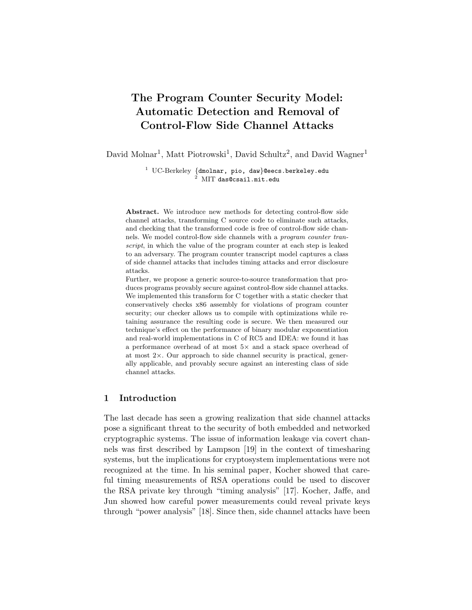# The Program Counter Security Model: Automatic Detection and Removal of Control-Flow Side Channel Attacks

David Molnar<sup>1</sup>, Matt Piotrowski<sup>1</sup>, David Schultz<sup>2</sup>, and David Wagner<sup>1</sup>

<sup>1</sup> UC-Berkeley  ${dmolar, pio, daw}$  @eecs.berkeley.edu <sup>2</sup> MIT das@csail.mit.edu

Abstract. We introduce new methods for detecting control-flow side channel attacks, transforming C source code to eliminate such attacks, and checking that the transformed code is free of control-flow side channels. We model control-flow side channels with a program counter transcript, in which the value of the program counter at each step is leaked to an adversary. The program counter transcript model captures a class of side channel attacks that includes timing attacks and error disclosure attacks.

Further, we propose a generic source-to-source transformation that produces programs provably secure against control-flow side channel attacks. We implemented this transform for C together with a static checker that conservatively checks x86 assembly for violations of program counter security; our checker allows us to compile with optimizations while retaining assurance the resulting code is secure. We then measured our technique's effect on the performance of binary modular exponentiation and real-world implementations in C of RC5 and IDEA: we found it has a performance overhead of at most 5× and a stack space overhead of at most 2×. Our approach to side channel security is practical, generally applicable, and provably secure against an interesting class of side channel attacks.

## 1 Introduction

The last decade has seen a growing realization that side channel attacks pose a significant threat to the security of both embedded and networked cryptographic systems. The issue of information leakage via covert channels was first described by Lampson [19] in the context of timesharing systems, but the implications for cryptosystem implementations were not recognized at the time. In his seminal paper, Kocher showed that careful timing measurements of RSA operations could be used to discover the RSA private key through "timing analysis" [17]. Kocher, Jaffe, and Jun showed how careful power measurements could reveal private keys through "power analysis" [18]. Since then, side channel attacks have been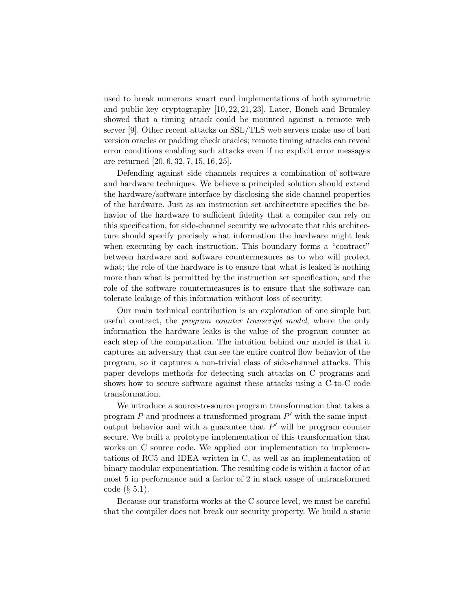used to break numerous smart card implementations of both symmetric and public-key cryptography [10, 22, 21, 23]. Later, Boneh and Brumley showed that a timing attack could be mounted against a remote web server [9]. Other recent attacks on SSL/TLS web servers make use of bad version oracles or padding check oracles; remote timing attacks can reveal error conditions enabling such attacks even if no explicit error messages are returned [20, 6, 32, 7, 15, 16, 25].

Defending against side channels requires a combination of software and hardware techniques. We believe a principled solution should extend the hardware/software interface by disclosing the side-channel properties of the hardware. Just as an instruction set architecture specifies the behavior of the hardware to sufficient fidelity that a compiler can rely on this specification, for side-channel security we advocate that this architecture should specify precisely what information the hardware might leak when executing by each instruction. This boundary forms a "contract" between hardware and software countermeaures as to who will protect what; the role of the hardware is to ensure that what is leaked is nothing more than what is permitted by the instruction set specification, and the role of the software countermeasures is to ensure that the software can tolerate leakage of this information without loss of security.

Our main technical contribution is an exploration of one simple but useful contract, the program counter transcript model, where the only information the hardware leaks is the value of the program counter at each step of the computation. The intuition behind our model is that it captures an adversary that can see the entire control flow behavior of the program, so it captures a non-trivial class of side-channel attacks. This paper develops methods for detecting such attacks on C programs and shows how to secure software against these attacks using a C-to-C code transformation.

We introduce a source-to-source program transformation that takes a program  $P$  and produces a transformed program  $P'$  with the same inputoutput behavior and with a guarantee that  $P'$  will be program counter secure. We built a prototype implementation of this transformation that works on C source code. We applied our implementation to implementations of RC5 and IDEA written in C, as well as an implementation of binary modular exponentiation. The resulting code is within a factor of at most 5 in performance and a factor of 2 in stack usage of untransformed code (§ 5.1).

Because our transform works at the C source level, we must be careful that the compiler does not break our security property. We build a static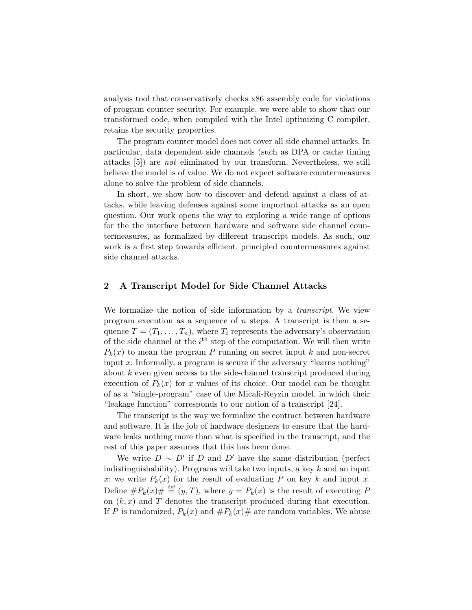analysis tool that conservatively checks x86 assembly code for violations of program counter security. For example, we were able to show that our transformed code, when compiled with the Intel optimizing C compiler, retains the security properties.

The program counter model does not cover all side channel attacks. In particular, data dependent side channels (such as DPA or cache timing attacks [5]) are not eliminated by our transform. Nevertheless, we still believe the model is of value. We do not expect software countermeasures alone to solve the problem of side channels.

In short, we show how to discover and defend against a class of attacks, while leaving defenses against some important attacks as an open question. Our work opens the way to exploring a wide range of options for the the interface between hardware and software side channel countermeasures, as formalized by different transcript models. As such, our work is a first step towards efficient, principled countermeasures against side channel attacks.

#### 2 A Transcript Model for Side Channel Attacks

We formalize the notion of side information by a *transcript*. We view program execution as a sequence of  $n$  steps. A transcript is then a sequence  $T = (T_1, \ldots, T_n)$ , where  $T_i$  represents the adversary's observation of the side channel at the  $i<sup>th</sup>$  step of the computation. We will then write  $P_k(x)$  to mean the program P running on secret input k and non-secret input  $x$ . Informally, a program is secure if the adversary "learns nothing" about k even given access to the side-channel transcript produced during execution of  $P_k(x)$  for x values of its choice. Our model can be thought of as a "single-program" case of the Micali-Reyzin model, in which their "leakage function" corresponds to our notion of a transcript [24].

The transcript is the way we formalize the contract between hardware and software. It is the job of hardware designers to ensure that the hardware leaks nothing more than what is specified in the transcript, and the rest of this paper assumes that this has been done.

We write  $D \sim D'$  if D and D' have the same distribution (perfect indistinguishability). Programs will take two inputs, a key  $k$  and an input x; we write  $P_k(x)$  for the result of evaluating P on key k and input x. Define  $\#P_k(x)\# \stackrel{\text{def}}{=} (y,T)$ , where  $y = P_k(x)$  is the result of executing P on  $(k, x)$  and T denotes the transcript produced during that execution. If P is randomized,  $P_k(x)$  and  $\#P_k(x)$  are random variables. We abuse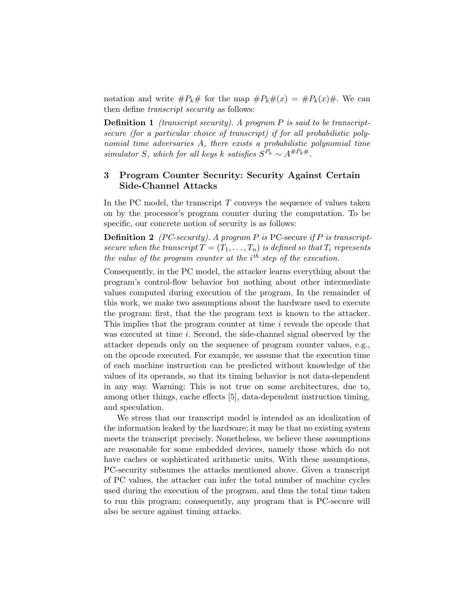notation and write  $\#P_k\#$  for the map  $\#P_k\#(x) = \#P_k(x)\#$ . We can then define transcript security as follows:

**Definition 1** (transcript security). A program  $P$  is said to be transcriptsecure (for a particular choice of transcript) if for all probabilistic polynomial time adversaries A, there exists a probabilistic polynomial time simulator S, which for all keys k satisfies  $S^{P_k} \sim A^{\#P_k\#}$ .

# 3 Program Counter Security: Security Against Certain Side-Channel Attacks

In the PC model, the transcript  $T$  conveys the sequence of values taken on by the processor's program counter during the computation. To be specific, our concrete notion of security is as follows:

**Definition 2** (PC-security). A program P is PC-secure if P is transcriptsecure when the transcript  $T = (T_1, \ldots, T_n)$  is defined so that  $T_i$  represents the value of the program counter at the  $i<sup>th</sup>$  step of the execution.

Consequently, in the PC model, the attacker learns everything about the program's control-flow behavior but nothing about other intermediate values computed during execution of the program. In the remainder of this work, we make two assumptions about the hardware used to execute the program: first, that the the program text is known to the attacker. This implies that the program counter at time i reveals the opcode that was executed at time *i*. Second, the side-channel signal observed by the attacker depends only on the sequence of program counter values, e.g., on the opcode executed. For example, we assume that the execution time of each machine instruction can be predicted without knowledge of the values of its operands, so that its timing behavior is not data-dependent in any way. Warning: This is not true on some architectures, due to, among other things, cache effects [5], data-dependent instruction timing, and speculation.

We stress that our transcript model is intended as an idealization of the information leaked by the hardware; it may be that no existing system meets the transcript precisely. Nonetheless, we believe these assumptions are reasonable for some embedded devices, namely those which do not have caches or sophisticated arithmetic units. With these assumptions, PC-security subsumes the attacks mentioned above. Given a transcript of PC values, the attacker can infer the total number of machine cycles used during the execution of the program, and thus the total time taken to run this program; consequently, any program that is PC-secure will also be secure against timing attacks.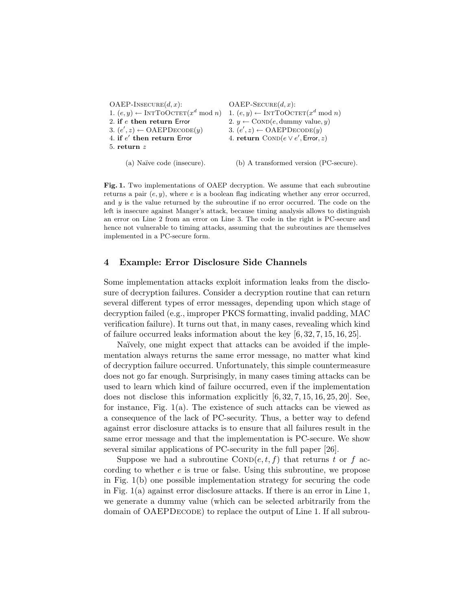| $OAEP-INSECURE(d, x)$ :                              | $OAEP-SECURE(d, x)$ :                                   |
|------------------------------------------------------|---------------------------------------------------------|
| 1. $(e, y) \leftarrow \text{INTTOOCTET}(x^d \mod n)$ | 1. $(e, y) \leftarrow \text{INTTOOCTET}(x^d \mod n)$    |
| 2. if e then return Error                            | 2. $y \leftarrow \text{COND}(e, \text{dummy value}, y)$ |
| 3. $(e', z) \leftarrow \text{OAEPDECODE}(y)$         | 3. $(e', z) \leftarrow \text{OAEPDECODE}(y)$            |
| 4. if $e'$ then return Error                         | 4. return $\text{COND}(e \vee e', \text{Error}, z)$     |
| 5. return $z$                                        |                                                         |
|                                                      |                                                         |
| (a) Naïve code (insecure).                           | (b) A transformed version (PC-secure).                  |

Fig. 1. Two implementations of OAEP decryption. We assume that each subroutine returns a pair  $(e, y)$ , where e is a boolean flag indicating whether any error occurred, and  $y$  is the value returned by the subroutine if no error occurred. The code on the left is insecure against Manger's attack, because timing analysis allows to distinguish an error on Line 2 from an error on Line 3. The code in the right is PC-secure and hence not vulnerable to timing attacks, assuming that the subroutines are themselves implemented in a PC-secure form.

#### 4 Example: Error Disclosure Side Channels

Some implementation attacks exploit information leaks from the disclosure of decryption failures. Consider a decryption routine that can return several different types of error messages, depending upon which stage of decryption failed (e.g., improper PKCS formatting, invalid padding, MAC verification failure). It turns out that, in many cases, revealing which kind of failure occurred leaks information about the key [6, 32, 7, 15, 16, 25].

Naïvely, one might expect that attacks can be avoided if the implementation always returns the same error message, no matter what kind of decryption failure occurred. Unfortunately, this simple countermeasure does not go far enough. Surprisingly, in many cases timing attacks can be used to learn which kind of failure occurred, even if the implementation does not disclose this information explicitly [6, 32, 7, 15, 16, 25, 20]. See, for instance, Fig. 1(a). The existence of such attacks can be viewed as a consequence of the lack of PC-security. Thus, a better way to defend against error disclosure attacks is to ensure that all failures result in the same error message and that the implementation is PC-secure. We show several similar applications of PC-security in the full paper [26].

Suppose we had a subroutine  $\text{COND}(e, t, f)$  that returns t or f according to whether  $e$  is true or false. Using this subroutine, we propose in Fig. 1(b) one possible implementation strategy for securing the code in Fig. 1(a) against error disclosure attacks. If there is an error in Line 1, we generate a dummy value (which can be selected arbitrarily from the domain of OAEPDECODE) to replace the output of Line 1. If all subrou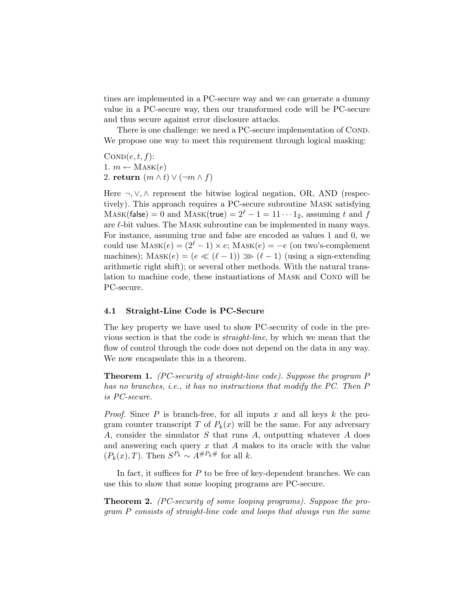tines are implemented in a PC-secure way and we can generate a dummy value in a PC-secure way, then our transformed code will be PC-secure and thus secure against error disclosure attacks.

There is one challenge: we need a PC-secure implementation of COND. We propose one way to meet this requirement through logical masking:

 $COND(e, t, f)$ : 1.  $m \leftarrow \text{MASK}(e)$ 2. return  $(m \wedge t) \vee (\neg m \wedge f)$ 

Here  $\neg, \vee, \wedge$  represent the bitwise logical negation, OR, AND (respectively). This approach requires a PC-secure subroutine Mask satisfying  $Mask(false) = 0$  and  $MASK(true) = 2<sup>\ell</sup> - 1 = 11 \cdots 1_2$ , assuming t and f are  $\ell$ -bit values. The MASK subroutine can be implemented in many ways. For instance, assuming true and false are encoded as values 1 and 0, we could use  $\text{Mask}(e) = (2^{\ell} - 1) \times e$ ;  $\text{Mask}(e) = -e$  (on two's-complement machines);  $\text{Mask}(e) = (e \ll (\ell - 1)) \gg (\ell - 1)$  (using a sign-extending arithmetic right shift); or several other methods. With the natural translation to machine code, these instantiations of MASK and COND will be PC-secure.

#### 4.1 Straight-Line Code is PC-Secure

The key property we have used to show PC-security of code in the previous section is that the code is straight-line, by which we mean that the flow of control through the code does not depend on the data in any way. We now encapsulate this in a theorem.

Theorem 1. (PC-security of straight-line code). Suppose the program P has no branches, i.e., it has no instructions that modify the PC. Then P is PC-secure.

*Proof.* Since P is branch-free, for all inputs x and all keys  $k$  the program counter transcript T of  $P_k(x)$  will be the same. For any adversary A, consider the simulator S that runs A, outputting whatever A does and answering each query  $x$  that  $A$  makes to its oracle with the value  $(P_k(x), T)$ . Then  $S^{P_k} \sim A^{\#P_k \#}$  for all k.

In fact, it suffices for P to be free of key-dependent branches. We can use this to show that some looping programs are PC-secure.

Theorem 2. (PC-security of some looping programs). Suppose the program P consists of straight-line code and loops that always run the same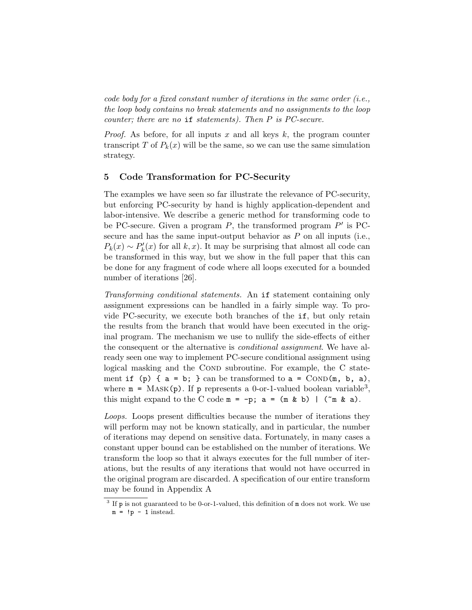code body for a fixed constant number of iterations in the same order (i.e., the loop body contains no break statements and no assignments to the loop counter; there are no if statements). Then P is PC-secure.

*Proof.* As before, for all inputs x and all keys  $k$ , the program counter transcript T of  $P_k(x)$  will be the same, so we can use the same simulation strategy.

## 5 Code Transformation for PC-Security

The examples we have seen so far illustrate the relevance of PC-security, but enforcing PC-security by hand is highly application-dependent and labor-intensive. We describe a generic method for transforming code to be PC-secure. Given a program  $P$ , the transformed program  $P'$  is PCsecure and has the same input-output behavior as  $P$  on all inputs (i.e.,  $P_k(x) \sim P'_k(x)$  for all k, x). It may be surprising that almost all code can be transformed in this way, but we show in the full paper that this can be done for any fragment of code where all loops executed for a bounded number of iterations [26].

Transforming conditional statements. An if statement containing only assignment expressions can be handled in a fairly simple way. To provide PC-security, we execute both branches of the if, but only retain the results from the branch that would have been executed in the original program. The mechanism we use to nullify the side-effects of either the consequent or the alternative is conditional assignment. We have already seen one way to implement PC-secure conditional assignment using logical masking and the COND subroutine. For example, the C statement if (p) {  $a = b$ ; } can be transformed to  $a = \text{COND(m, b, a)}$ , where  $m = \text{MASK}(p)$ . If p represents a 0-or-1-valued boolean variable<sup>3</sup>, this might expand to the C code  $m = -p$ ;  $a = (m \& b)$  | ("m  $\& a$ ).

Loops. Loops present difficulties because the number of iterations they will perform may not be known statically, and in particular, the number of iterations may depend on sensitive data. Fortunately, in many cases a constant upper bound can be established on the number of iterations. We transform the loop so that it always executes for the full number of iterations, but the results of any iterations that would not have occurred in the original program are discarded. A specification of our entire transform may be found in Appendix A

 $3$  If p is not guaranteed to be 0-or-1-valued, this definition of  $m$  does not work. We use  $\mathtt{m}$  =  $\mathtt{!p}$  -  $\mathtt{1}$  instead.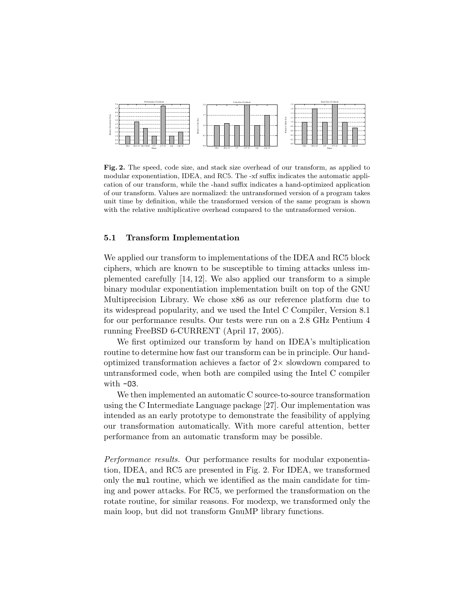

Fig. 2. The speed, code size, and stack size overhead of our transform, as applied to modular exponentiation, IDEA, and RC5. The -xf suffix indicates the automatic application of our transform, while the -hand suffix indicates a hand-optimized application of our transform. Values are normalized: the untransformed version of a program takes unit time by definition, while the transformed version of the same program is shown with the relative multiplicative overhead compared to the untransformed version.

#### 5.1 Transform Implementation

We applied our transform to implementations of the IDEA and RC5 block ciphers, which are known to be susceptible to timing attacks unless implemented carefully [14, 12]. We also applied our transform to a simple binary modular exponentiation implementation built on top of the GNU Multiprecision Library. We chose x86 as our reference platform due to its widespread popularity, and we used the Intel C Compiler, Version 8.1 for our performance results. Our tests were run on a 2.8 GHz Pentium 4 running FreeBSD 6-CURRENT (April 17, 2005).

We first optimized our transform by hand on IDEA's multiplication routine to determine how fast our transform can be in principle. Our handoptimized transformation achieves a factor of  $2\times$  slowdown compared to untransformed code, when both are compiled using the Intel C compiler with  $-03$ .

We then implemented an automatic C source-to-source transformation using the C Intermediate Language package [27]. Our implementation was intended as an early prototype to demonstrate the feasibility of applying our transformation automatically. With more careful attention, better performance from an automatic transform may be possible.

Performance results. Our performance results for modular exponentiation, IDEA, and RC5 are presented in Fig. 2. For IDEA, we transformed only the mul routine, which we identified as the main candidate for timing and power attacks. For RC5, we performed the transformation on the rotate routine, for similar reasons. For modexp, we transformed only the main loop, but did not transform GnuMP library functions.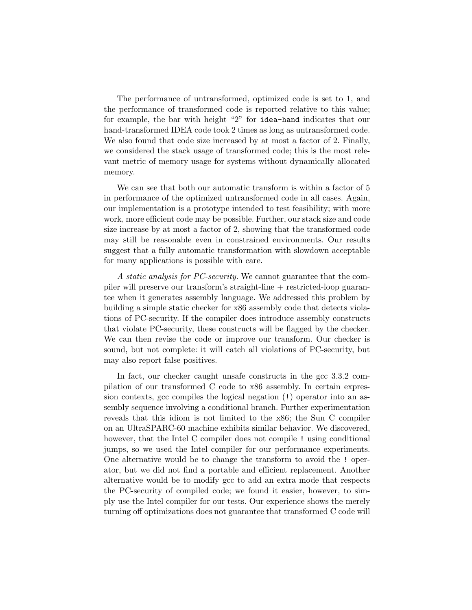The performance of untransformed, optimized code is set to 1, and the performance of transformed code is reported relative to this value; for example, the bar with height "2" for idea-hand indicates that our hand-transformed IDEA code took 2 times as long as untransformed code. We also found that code size increased by at most a factor of 2. Finally, we considered the stack usage of transformed code; this is the most relevant metric of memory usage for systems without dynamically allocated memory.

We can see that both our automatic transform is within a factor of 5 in performance of the optimized untransformed code in all cases. Again, our implementation is a prototype intended to test feasibility; with more work, more efficient code may be possible. Further, our stack size and code size increase by at most a factor of 2, showing that the transformed code may still be reasonable even in constrained environments. Our results suggest that a fully automatic transformation with slowdown acceptable for many applications is possible with care.

A static analysis for PC-security. We cannot guarantee that the compiler will preserve our transform's straight-line + restricted-loop guarantee when it generates assembly language. We addressed this problem by building a simple static checker for x86 assembly code that detects violations of PC-security. If the compiler does introduce assembly constructs that violate PC-security, these constructs will be flagged by the checker. We can then revise the code or improve our transform. Our checker is sound, but not complete: it will catch all violations of PC-security, but may also report false positives.

In fact, our checker caught unsafe constructs in the gcc 3.3.2 compilation of our transformed C code to x86 assembly. In certain expression contexts, gcc compiles the logical negation (!) operator into an assembly sequence involving a conditional branch. Further experimentation reveals that this idiom is not limited to the x86; the Sun C compiler on an UltraSPARC-60 machine exhibits similar behavior. We discovered, however, that the Intel C compiler does not compile ! using conditional jumps, so we used the Intel compiler for our performance experiments. One alternative would be to change the transform to avoid the ! operator, but we did not find a portable and efficient replacement. Another alternative would be to modify gcc to add an extra mode that respects the PC-security of compiled code; we found it easier, however, to simply use the Intel compiler for our tests. Our experience shows the merely turning off optimizations does not guarantee that transformed C code will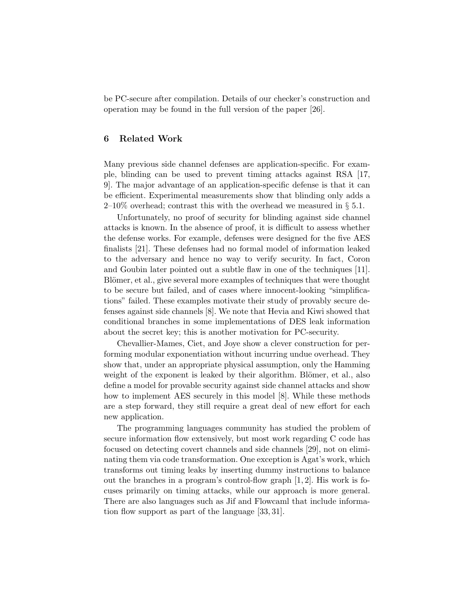be PC-secure after compilation. Details of our checker's construction and operation may be found in the full version of the paper [26].

#### 6 Related Work

Many previous side channel defenses are application-specific. For example, blinding can be used to prevent timing attacks against RSA [17, 9]. The major advantage of an application-specific defense is that it can be efficient. Experimental measurements show that blinding only adds a  $2-10\%$  overhead; contrast this with the overhead we measured in § 5.1.

Unfortunately, no proof of security for blinding against side channel attacks is known. In the absence of proof, it is difficult to assess whether the defense works. For example, defenses were designed for the five AES finalists [21]. These defenses had no formal model of information leaked to the adversary and hence no way to verify security. In fact, Coron and Goubin later pointed out a subtle flaw in one of the techniques [11]. Blömer, et al., give several more examples of techniques that were thought to be secure but failed, and of cases where innocent-looking "simplifications" failed. These examples motivate their study of provably secure defenses against side channels [8]. We note that Hevia and Kiwi showed that conditional branches in some implementations of DES leak information about the secret key; this is another motivation for PC-security.

Chevallier-Mames, Ciet, and Joye show a clever construction for performing modular exponentiation without incurring undue overhead. They show that, under an appropriate physical assumption, only the Hamming weight of the exponent is leaked by their algorithm. Blömer, et al., also define a model for provable security against side channel attacks and show how to implement AES securely in this model [8]. While these methods are a step forward, they still require a great deal of new effort for each new application.

The programming languages community has studied the problem of secure information flow extensively, but most work regarding C code has focused on detecting covert channels and side channels [29], not on eliminating them via code transformation. One exception is Agat's work, which transforms out timing leaks by inserting dummy instructions to balance out the branches in a program's control-flow graph [1, 2]. His work is focuses primarily on timing attacks, while our approach is more general. There are also languages such as Jif and Flowcaml that include information flow support as part of the language [33, 31].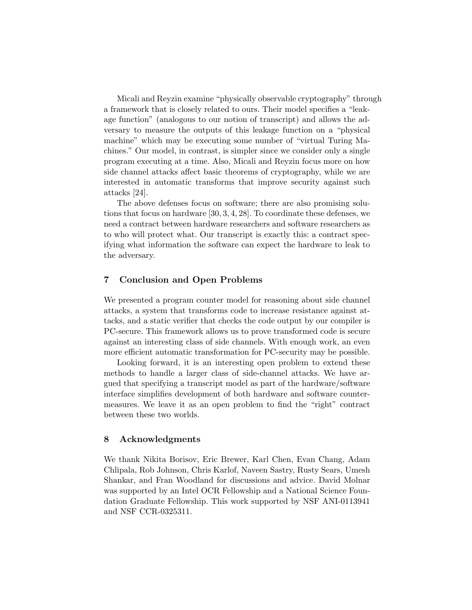Micali and Reyzin examine "physically observable cryptography" through a framework that is closely related to ours. Their model specifies a "leakage function" (analogous to our notion of transcript) and allows the adversary to measure the outputs of this leakage function on a "physical machine" which may be executing some number of "virtual Turing Machines." Our model, in contrast, is simpler since we consider only a single program executing at a time. Also, Micali and Reyzin focus more on how side channel attacks affect basic theorems of cryptography, while we are interested in automatic transforms that improve security against such attacks [24].

The above defenses focus on software; there are also promising solutions that focus on hardware [30, 3, 4, 28]. To coordinate these defenses, we need a contract between hardware researchers and software researchers as to who will protect what. Our transcript is exactly this: a contract specifying what information the software can expect the hardware to leak to the adversary.

# 7 Conclusion and Open Problems

We presented a program counter model for reasoning about side channel attacks, a system that transforms code to increase resistance against attacks, and a static verifier that checks the code output by our compiler is PC-secure. This framework allows us to prove transformed code is secure against an interesting class of side channels. With enough work, an even more efficient automatic transformation for PC-security may be possible.

Looking forward, it is an interesting open problem to extend these methods to handle a larger class of side-channel attacks. We have argued that specifying a transcript model as part of the hardware/software interface simplifies development of both hardware and software countermeasures. We leave it as an open problem to find the "right" contract between these two worlds.

#### 8 Acknowledgments

We thank Nikita Borisov, Eric Brewer, Karl Chen, Evan Chang, Adam Chlipala, Rob Johnson, Chris Karlof, Naveen Sastry, Rusty Sears, Umesh Shankar, and Fran Woodland for discussions and advice. David Molnar was supported by an Intel OCR Fellowship and a National Science Foundation Graduate Fellowship. This work supported by NSF ANI-0113941 and NSF CCR-0325311.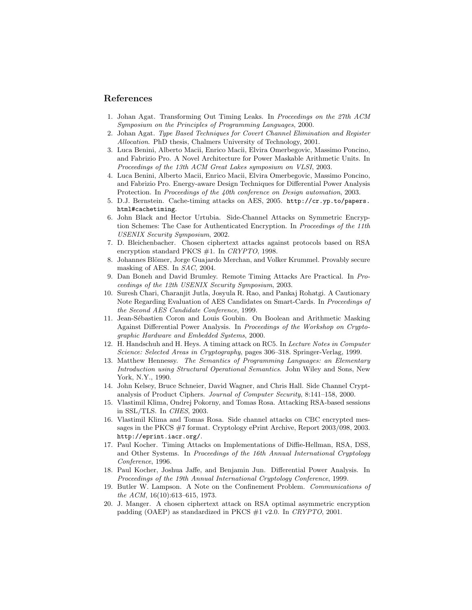#### References

- 1. Johan Agat. Transforming Out Timing Leaks. In Proceedings on the 27th ACM Symposium on the Principles of Programming Languages, 2000.
- 2. Johan Agat. Type Based Techniques for Covert Channel Elimination and Register Allocation. PhD thesis, Chalmers University of Technology, 2001.
- 3. Luca Benini, Alberto Macii, Enrico Macii, Elvira Omerbegovic, Massimo Poncino, and Fabrizio Pro. A Novel Architecture for Power Maskable Arithmetic Units. In Proceedings of the 13th ACM Great Lakes symposium on VLSI, 2003.
- 4. Luca Benini, Alberto Macii, Enrico Macii, Elvira Omerbegovic, Massimo Poncino, and Fabrizio Pro. Energy-aware Design Techniques for Differential Power Analysis Protection. In Proceedings of the 40th conference on Design automation, 2003.
- 5. D.J. Bernstein. Cache-timing attacks on AES, 2005. http://cr.yp.to/papers. html#cachetiming.
- 6. John Black and Hector Urtubia. Side-Channel Attacks on Symmetric Encryption Schemes: The Case for Authenticated Encryption. In Proceedings of the 11th USENIX Security Symposium, 2002.
- 7. D. Bleichenbacher. Chosen ciphertext attacks against protocols based on RSA encryption standard PKCS #1. In CRYPTO, 1998.
- 8. Johannes Blömer, Jorge Guajardo Merchan, and Volker Krummel. Provably secure masking of AES. In SAC, 2004.
- 9. Dan Boneh and David Brumley. Remote Timing Attacks Are Practical. In Proceedings of the 12th USENIX Security Symposium, 2003.
- 10. Suresh Chari, Charanjit Jutla, Josyula R. Rao, and Pankaj Rohatgi. A Cautionary Note Regarding Evaluation of AES Candidates on Smart-Cards. In Proceedings of the Second AES Candidate Conference, 1999.
- 11. Jean-Sébastien Coron and Louis Goubin. On Boolean and Arithmetic Masking Against Differential Power Analysis. In Proceedings of the Workshop on Cryptographic Hardware and Embedded Systems, 2000.
- 12. H. Handschuh and H. Heys. A timing attack on RC5. In Lecture Notes in Computer Science: Selected Areas in Cryptography, pages 306–318. Springer-Verlag, 1999.
- 13. Matthew Hennessy. The Semantics of Programming Languages: an Elementary Introduction using Structural Operational Semantics. John Wiley and Sons, New York, N.Y., 1990.
- 14. John Kelsey, Bruce Schneier, David Wagner, and Chris Hall. Side Channel Cryptanalysis of Product Ciphers. Journal of Computer Security, 8:141–158, 2000.
- 15. Vlastimil Klima, Ondrej Pokorny, and Tomas Rosa. Attacking RSA-based sessions in SSL/TLS. In CHES, 2003.
- 16. Vlastimil Klima and Tomas Rosa. Side channel attacks on CBC encrypted messages in the PKCS #7 format. Cryptology ePrint Archive, Report 2003/098, 2003. http://eprint.iacr.org/.
- 17. Paul Kocher. Timing Attacks on Implementations of Diffie-Hellman, RSA, DSS, and Other Systems. In Proceedings of the 16th Annual International Cryptology Conference, 1996.
- 18. Paul Kocher, Joshua Jaffe, and Benjamin Jun. Differential Power Analysis. In Proceedings of the 19th Annual International Cryptology Conference, 1999.
- 19. Butler W. Lampson. A Note on the Confinement Problem. Communications of the ACM, 16(10):613–615, 1973.
- 20. J. Manger. A chosen ciphertext attack on RSA optimal asymmetric encryption padding (OAEP) as standardized in PKCS #1 v2.0. In CRYPTO, 2001.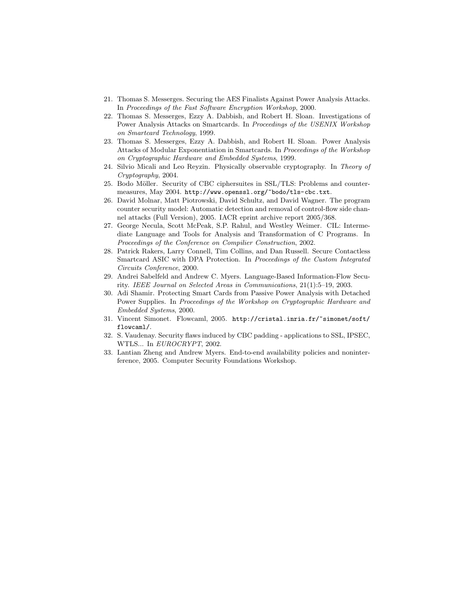- 21. Thomas S. Messerges. Securing the AES Finalists Against Power Analysis Attacks. In Proceedings of the Fast Software Encryption Workshop, 2000.
- 22. Thomas S. Messerges, Ezzy A. Dabbish, and Robert H. Sloan. Investigations of Power Analysis Attacks on Smartcards. In Proceedings of the USENIX Workshop on Smartcard Technology, 1999.
- 23. Thomas S. Messerges, Ezzy A. Dabbish, and Robert H. Sloan. Power Analysis Attacks of Modular Exponentiation in Smartcards. In Proceedings of the Workshop on Cryptographic Hardware and Embedded Systems, 1999.
- 24. Silvio Micali and Leo Reyzin. Physically observable cryptography. In Theory of Cryptography, 2004.
- 25. Bodo Möller. Security of CBC ciphersuites in SSL/TLS: Problems and countermeasures, May 2004. http://www.openssl.org/~bodo/tls-cbc.txt.
- 26. David Molnar, Matt Piotrowski, David Schultz, and David Wagner. The program counter security model: Automatic detection and removal of control-flow side channel attacks (Full Version), 2005. IACR eprint archive report 2005/368.
- 27. George Necula, Scott McPeak, S.P. Rahul, and Westley Weimer. CIL: Intermediate Language and Tools for Analysis and Transformation of C Programs. In Proceedings of the Conference on Compilier Construction, 2002.
- 28. Patrick Rakers, Larry Connell, Tim Collins, and Dan Russell. Secure Contactless Smartcard ASIC with DPA Protection. In Proceedings of the Custom Integrated Circuits Conference, 2000.
- 29. Andrei Sabelfeld and Andrew C. Myers. Language-Based Information-Flow Security. IEEE Journal on Selected Areas in Communications, 21(1):5–19, 2003.
- 30. Adi Shamir. Protecting Smart Cards from Passive Power Analysis with Detached Power Supplies. In Proceedings of the Workshop on Cryptographic Hardware and Embedded Systems, 2000.
- 31. Vincent Simonet. Flowcaml, 2005. http://cristal.inria.fr/~simonet/soft/ flowcaml/.
- 32. S. Vaudenay. Security flaws induced by CBC padding applications to SSL, IPSEC, WTLS... In EUROCRYPT, 2002.
- 33. Lantian Zheng and Andrew Myers. End-to-end availability policies and noninterference, 2005. Computer Security Foundations Workshop.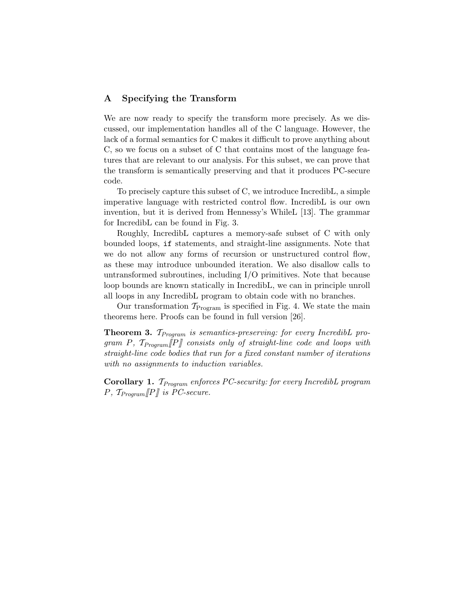## A Specifying the Transform

We are now ready to specify the transform more precisely. As we discussed, our implementation handles all of the C language. However, the lack of a formal semantics for C makes it difficult to prove anything about C, so we focus on a subset of C that contains most of the language features that are relevant to our analysis. For this subset, we can prove that the transform is semantically preserving and that it produces PC-secure code.

To precisely capture this subset of C, we introduce IncredibL, a simple imperative language with restricted control flow. IncredibL is our own invention, but it is derived from Hennessy's WhileL [13]. The grammar for IncredibL can be found in Fig. 3.

Roughly, IncredibL captures a memory-safe subset of C with only bounded loops, if statements, and straight-line assignments. Note that we do not allow any forms of recursion or unstructured control flow, as these may introduce unbounded iteration. We also disallow calls to untransformed subroutines, including I/O primitives. Note that because loop bounds are known statically in IncredibL, we can in principle unroll all loops in any IncredibL program to obtain code with no branches.

Our transformation  $\mathcal{T}_{\rm Program}$  is specified in Fig. 4. We state the main theorems here. Proofs can be found in full version [26].

**Theorem 3.**  $T_{Program}$  is semantics-preserving: for every IncredibL program P,  $T_{Program}$   $\llbracket P \rrbracket$  consists only of straight-line code and loops with straight-line code bodies that run for a fixed constant number of iterations with no assignments to induction variables.

Corollary 1.  $T_{Program}$  enforces PC-security: for every IncredibL program  $P, T_{Program} \llbracket P \rrbracket$  is PC-secure.